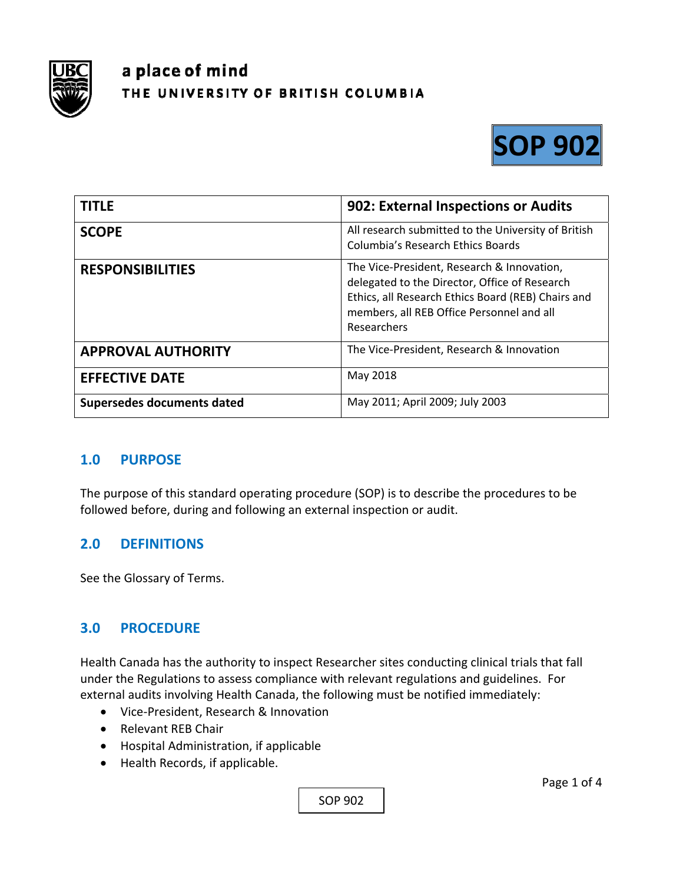

# a place of mind THE UNIVERSITY OF BRITISH COLUMBIA



| <b>TITLE</b>               | 902: External Inspections or Audits                                                                                                                                                                           |
|----------------------------|---------------------------------------------------------------------------------------------------------------------------------------------------------------------------------------------------------------|
| <b>SCOPE</b>               | All research submitted to the University of British<br>Columbia's Research Ethics Boards                                                                                                                      |
| <b>RESPONSIBILITIES</b>    | The Vice-President, Research & Innovation,<br>delegated to the Director, Office of Research<br>Ethics, all Research Ethics Board (REB) Chairs and<br>members, all REB Office Personnel and all<br>Researchers |
| <b>APPROVAL AUTHORITY</b>  | The Vice-President, Research & Innovation                                                                                                                                                                     |
| <b>EFFECTIVE DATE</b>      | May 2018                                                                                                                                                                                                      |
| Supersedes documents dated | May 2011; April 2009; July 2003                                                                                                                                                                               |

## **1.0 PURPOSE**

The purpose of this standard operating procedure (SOP) is to describe the procedures to be followed before, during and following an external inspection or audit.

## **2.0 DEFINITIONS**

See the Glossary of Terms.

## **3.0 PROCEDURE**

Health Canada has the authority to inspect Researcher sites conducting clinical trials that fall under the Regulations to assess compliance with relevant regulations and guidelines. For external audits involving Health Canada, the following must be notified immediately:

- Vice-President, Research & Innovation
- Relevant REB Chair
- Hospital Administration, if applicable
- Health Records, if applicable.

SOP 902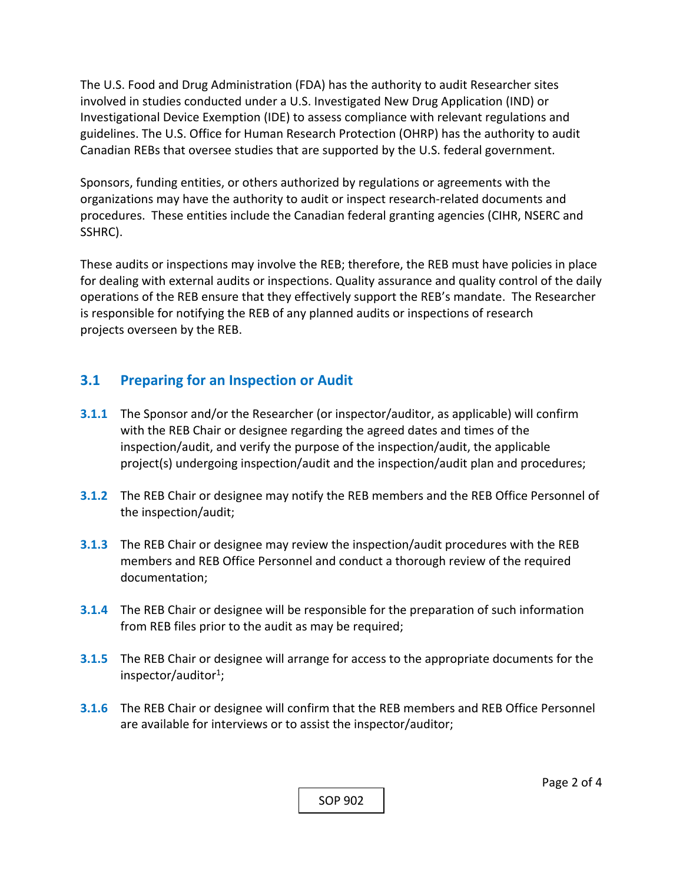The U.S. Food and Drug Administration (FDA) has the authority to audit Researcher sites involved in studies conducted under a U.S. Investigated New Drug Application (IND) or Investigational Device Exemption (IDE) to assess compliance with relevant regulations and guidelines. The U.S. Office for Human Research Protection (OHRP) has the authority to audit Canadian REBs that oversee studies that are supported by the U.S. federal government.

Sponsors, funding entities, or others authorized by regulations or agreements with the organizations may have the authority to audit or inspect research‐related documents and procedures. These entities include the Canadian federal granting agencies (CIHR, NSERC and SSHRC).

These audits or inspections may involve the REB; therefore, the REB must have policies in place for dealing with external audits or inspections. Quality assurance and quality control of the daily operations of the REB ensure that they effectively support the REB's mandate. The Researcher is responsible for notifying the REB of any planned audits or inspections of research projects overseen by the REB.

# **3.1 Preparing for an Inspection or Audit**

- **3.1.1** The Sponsor and/or the Researcher (or inspector/auditor, as applicable) will confirm with the REB Chair or designee regarding the agreed dates and times of the inspection/audit, and verify the purpose of the inspection/audit, the applicable project(s) undergoing inspection/audit and the inspection/audit plan and procedures;
- **3.1.2** The REB Chair or designee may notify the REB members and the REB Office Personnel of the inspection/audit;
- **3.1.3**  The REB Chair or designee may review the inspection/audit procedures with the REB members and REB Office Personnel and conduct a thorough review of the required documentation;
- **3.1.4**  The REB Chair or designee will be responsible for the preparation of such information from REB files prior to the audit as may be required;
- **3.1.5**  The REB Chair or designee will arrange for access to the appropriate documents for the inspector/auditor $1$ ;
- **3.1.6**  The REB Chair or designee will confirm that the REB members and REB Office Personnel are available for interviews or to assist the inspector/auditor;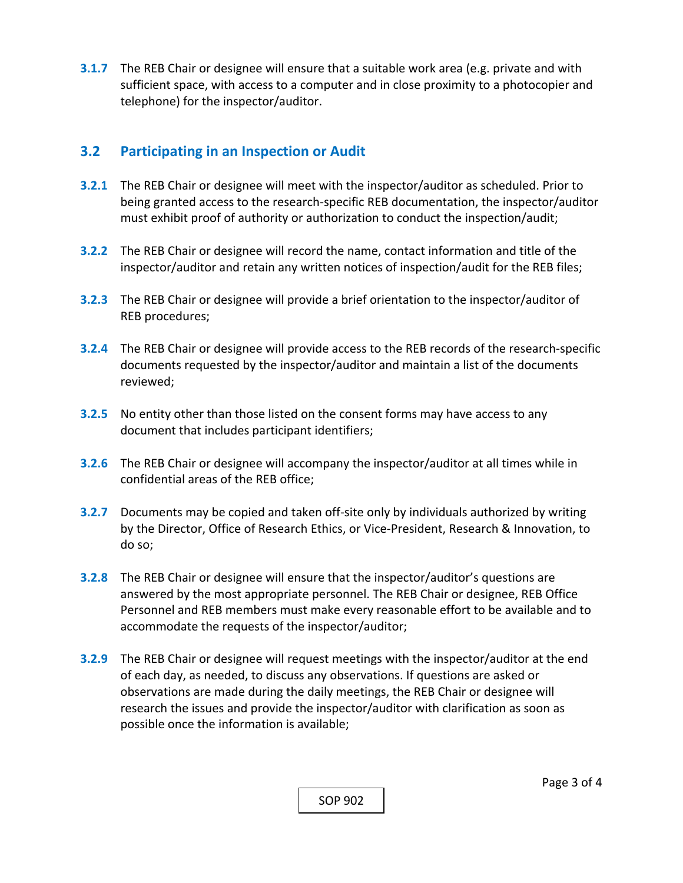**3.1.7**  The REB Chair or designee will ensure that a suitable work area (e.g. private and with sufficient space, with access to a computer and in close proximity to a photocopier and telephone) for the inspector/auditor.

## **3.2 Participating in an Inspection or Audit**

- **3.2.1** The REB Chair or designee will meet with the inspector/auditor as scheduled. Prior to being granted access to the research‐specific REB documentation, the inspector/auditor must exhibit proof of authority or authorization to conduct the inspection/audit;
- **3.2.2** The REB Chair or designee will record the name, contact information and title of the inspector/auditor and retain any written notices of inspection/audit for the REB files;
- **3.2.3**  The REB Chair or designee will provide a brief orientation to the inspector/auditor of REB procedures;
- **3.2.4**  The REB Chair or designee will provide access to the REB records of the research‐specific documents requested by the inspector/auditor and maintain a list of the documents reviewed;
- **3.2.5**  No entity other than those listed on the consent forms may have access to any document that includes participant identifiers;
- **3.2.6**  The REB Chair or designee will accompany the inspector/auditor at all times while in confidential areas of the REB office;
- **3.2.7** Documents may be copied and taken off-site only by individuals authorized by writing by the Director, Office of Research Ethics, or Vice‐President, Research & Innovation, to do so;
- **3.2.8**  The REB Chair or designee will ensure that the inspector/auditor's questions are answered by the most appropriate personnel. The REB Chair or designee, REB Office Personnel and REB members must make every reasonable effort to be available and to accommodate the requests of the inspector/auditor;
- **3.2.9**  The REB Chair or designee will request meetings with the inspector/auditor at the end of each day, as needed, to discuss any observations. If questions are asked or observations are made during the daily meetings, the REB Chair or designee will research the issues and provide the inspector/auditor with clarification as soon as possible once the information is available;